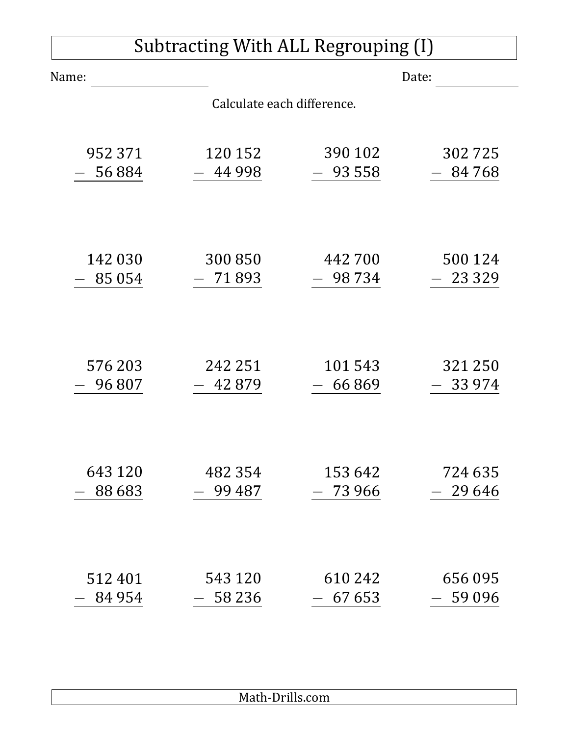| Subtracting With ALL Regrouping (I) |                            |          |          |  |  |
|-------------------------------------|----------------------------|----------|----------|--|--|
| Name:                               |                            | Date:    |          |  |  |
|                                     | Calculate each difference. |          |          |  |  |
|                                     |                            |          |          |  |  |
| 952 371                             | 120 152                    | 390 102  | 302725   |  |  |
| 56884                               | 44 9 98                    | 93 558   | 84 768   |  |  |
|                                     |                            |          |          |  |  |
| 142 030                             | 300 850                    | 442 700  | 500 124  |  |  |
| 85 0 54                             | 71893                      | 98 7 34  | 23 3 29  |  |  |
|                                     |                            |          |          |  |  |
|                                     |                            |          |          |  |  |
| 576 203                             | 242 251                    | 101543   | 321 250  |  |  |
| 96807                               | 42879                      | 66869    | 33 9 74  |  |  |
|                                     |                            |          |          |  |  |
|                                     |                            |          |          |  |  |
| 643 120                             | 482 354                    | 153 642  | 724 635  |  |  |
| 88 6 83                             | 99 487                     | 73 966   | 29 64 6  |  |  |
|                                     |                            |          |          |  |  |
|                                     |                            |          |          |  |  |
| 512401                              | 543 120                    | 610 242  | 656095   |  |  |
| 84 954                              | $-58236$                   | $-67653$ | $-59096$ |  |  |